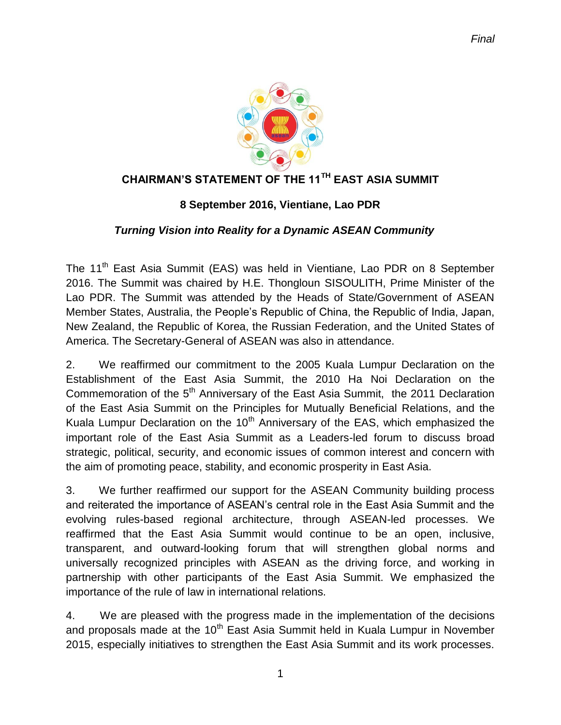

## **CHAIRMAN'S STATEMENT OF THE 11TH EAST ASIA SUMMIT**

#### **8 September 2016, Vientiane, Lao PDR**

#### *Turning Vision into Reality for a Dynamic ASEAN Community*

The 11<sup>th</sup> East Asia Summit (EAS) was held in Vientiane, Lao PDR on 8 September 2016. The Summit was chaired by H.E. Thongloun SISOULITH, Prime Minister of the Lao PDR. The Summit was attended by the Heads of State/Government of ASEAN Member States, Australia, the People's Republic of China, the Republic of India, Japan, New Zealand, the Republic of Korea, the Russian Federation, and the United States of America. The Secretary-General of ASEAN was also in attendance.

2. We reaffirmed our commitment to the 2005 Kuala Lumpur Declaration on the Establishment of the East Asia Summit, the 2010 Ha Noi Declaration on the Commemoration of the 5<sup>th</sup> Anniversary of the East Asia Summit, the 2011 Declaration of the East Asia Summit on the Principles for Mutually Beneficial Relations, and the Kuala Lumpur Declaration on the  $10<sup>th</sup>$  Anniversary of the EAS, which emphasized the important role of the East Asia Summit as a Leaders-led forum to discuss broad strategic, political, security, and economic issues of common interest and concern with the aim of promoting peace, stability, and economic prosperity in East Asia.

3. We further reaffirmed our support for the ASEAN Community building process and reiterated the importance of ASEAN's central role in the East Asia Summit and the evolving rules-based regional architecture, through ASEAN-led processes. We reaffirmed that the East Asia Summit would continue to be an open, inclusive, transparent, and outward-looking forum that will strengthen global norms and universally recognized principles with ASEAN as the driving force, and working in partnership with other participants of the East Asia Summit. We emphasized the importance of the rule of law in international relations.

4. We are pleased with the progress made in the implementation of the decisions and proposals made at the  $10<sup>th</sup>$  East Asia Summit held in Kuala Lumpur in November 2015, especially initiatives to strengthen the East Asia Summit and its work processes.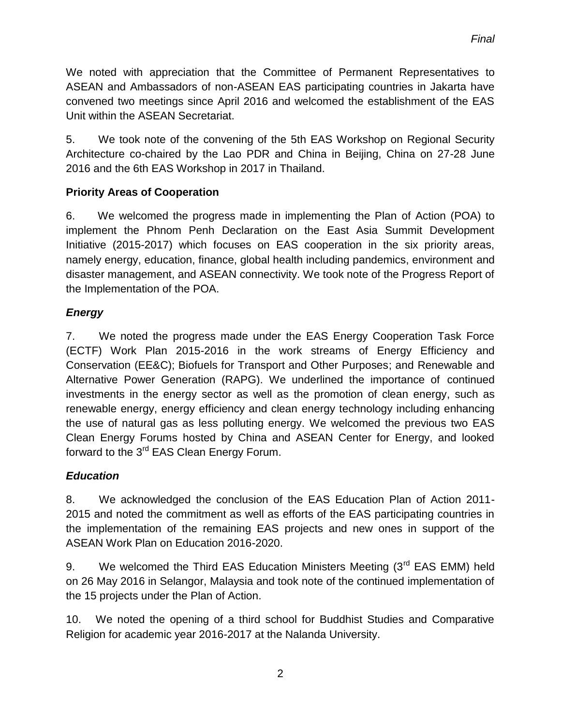We noted with appreciation that the Committee of Permanent Representatives to ASEAN and Ambassadors of non-ASEAN EAS participating countries in Jakarta have convened two meetings since April 2016 and welcomed the establishment of the EAS Unit within the ASEAN Secretariat.

5. We took note of the convening of the 5th EAS Workshop on Regional Security Architecture co-chaired by the Lao PDR and China in Beijing, China on 27-28 June 2016 and the 6th EAS Workshop in 2017 in Thailand.

# **Priority Areas of Cooperation**

6. We welcomed the progress made in implementing the Plan of Action (POA) to implement the Phnom Penh Declaration on the East Asia Summit Development Initiative (2015-2017) which focuses on EAS cooperation in the six priority areas, namely energy, education, finance, global health including pandemics, environment and disaster management, and ASEAN connectivity. We took note of the Progress Report of the Implementation of the POA.

# *Energy*

7. We noted the progress made under the EAS Energy Cooperation Task Force (ECTF) Work Plan 2015-2016 in the work streams of Energy Efficiency and Conservation (EE&C); Biofuels for Transport and Other Purposes; and Renewable and Alternative Power Generation (RAPG). We underlined the importance of continued investments in the energy sector as well as the promotion of clean energy, such as renewable energy, energy efficiency and clean energy technology including enhancing the use of natural gas as less polluting energy. We welcomed the previous two EAS Clean Energy Forums hosted by China and ASEAN Center for Energy, and looked forward to the 3<sup>rd</sup> EAS Clean Energy Forum.

# *Education*

8. We acknowledged the conclusion of the EAS Education Plan of Action 2011- 2015 and noted the commitment as well as efforts of the EAS participating countries in the implementation of the remaining EAS projects and new ones in support of the ASEAN Work Plan on Education 2016-2020.

9. We welcomed the Third EAS Education Ministers Meeting  $(3<sup>rd</sup>$  EAS EMM) held on 26 May 2016 in Selangor, Malaysia and took note of the continued implementation of the 15 projects under the Plan of Action.

10. We noted the opening of a third school for Buddhist Studies and Comparative Religion for academic year 2016-2017 at the Nalanda University.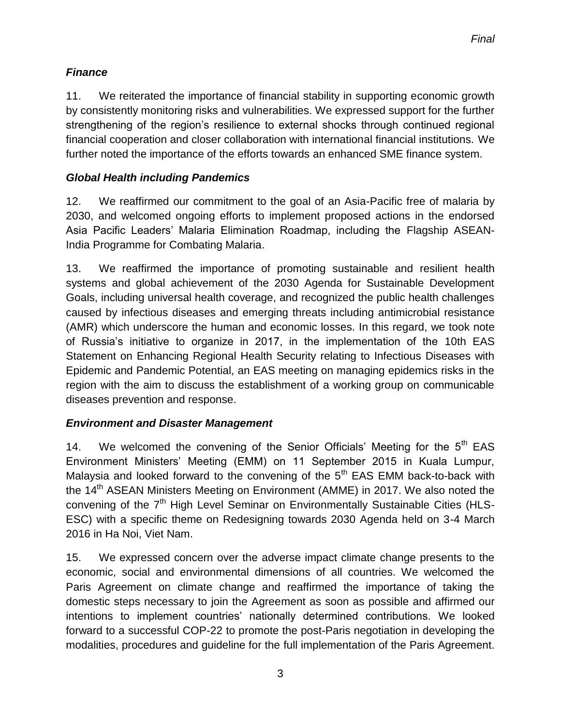# *Finance*

11. We reiterated the importance of financial stability in supporting economic growth by consistently monitoring risks and vulnerabilities. We expressed support for the further strengthening of the region's resilience to external shocks through continued regional financial cooperation and closer collaboration with international financial institutions. We further noted the importance of the efforts towards an enhanced SME finance system.

# *Global Health including Pandemics*

12. We reaffirmed our commitment to the goal of an Asia-Pacific free of malaria by 2030, and welcomed ongoing efforts to implement proposed actions in the endorsed Asia Pacific Leaders' Malaria Elimination Roadmap, including the Flagship ASEAN-India Programme for Combating Malaria.

13. We reaffirmed the importance of promoting sustainable and resilient health systems and global achievement of the 2030 Agenda for Sustainable Development Goals, including universal health coverage, and recognized the public health challenges caused by infectious diseases and emerging threats including antimicrobial resistance (AMR) which underscore the human and economic losses. In this regard, we took note of Russia's initiative to organize in 2017, in the implementation of the 10th EAS Statement on Enhancing Regional Health Security relating to Infectious Diseases with Epidemic and Pandemic Potential, an EAS meeting on managing epidemics risks in the region with the aim to discuss the establishment of a working group on communicable diseases prevention and response.

# *Environment and Disaster Management*

14. We welcomed the convening of the Senior Officials' Meeting for the  $5<sup>th</sup>$  EAS Environment Ministers' Meeting (EMM) on 11 September 2015 in Kuala Lumpur, Malaysia and looked forward to the convening of the  $5<sup>th</sup>$  EAS EMM back-to-back with the 14<sup>th</sup> ASEAN Ministers Meeting on Environment (AMME) in 2017. We also noted the convening of the 7<sup>th</sup> High Level Seminar on Environmentally Sustainable Cities (HLS-ESC) with a specific theme on Redesigning towards 2030 Agenda held on 3-4 March 2016 in Ha Noi, Viet Nam.

15. We expressed concern over the adverse impact climate change presents to the economic, social and environmental dimensions of all countries. We welcomed the Paris Agreement on climate change and reaffirmed the importance of taking the domestic steps necessary to join the Agreement as soon as possible and affirmed our intentions to implement countries' nationally determined contributions. We looked forward to a successful COP-22 to promote the post-Paris negotiation in developing the modalities, procedures and guideline for the full implementation of the Paris Agreement.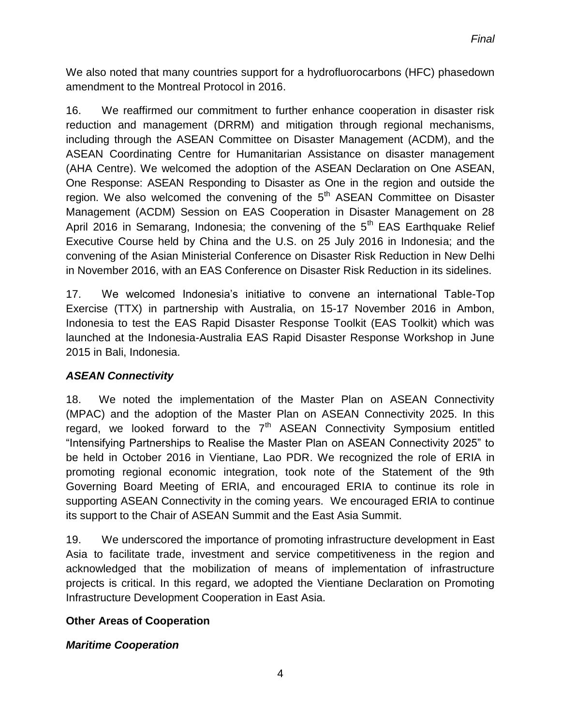We also noted that many countries support for a hydrofluorocarbons (HFC) phasedown amendment to the Montreal Protocol in 2016.

16. We reaffirmed our commitment to further enhance cooperation in disaster risk reduction and management (DRRM) and mitigation through regional mechanisms, including through the ASEAN Committee on Disaster Management (ACDM), and the ASEAN Coordinating Centre for Humanitarian Assistance on disaster management (AHA Centre). We welcomed the adoption of the ASEAN Declaration on One ASEAN, One Response: ASEAN Responding to Disaster as One in the region and outside the region. We also welcomed the convening of the  $5<sup>th</sup>$  ASEAN Committee on Disaster Management (ACDM) Session on EAS Cooperation in Disaster Management on 28 April 2016 in Semarang, Indonesia; the convening of the  $5<sup>th</sup>$  EAS Earthquake Relief Executive Course held by China and the U.S. on 25 July 2016 in Indonesia; and the convening of the Asian Ministerial Conference on Disaster Risk Reduction in New Delhi in November 2016, with an EAS Conference on Disaster Risk Reduction in its sidelines.

17. We welcomed Indonesia's initiative to convene an international Table-Top Exercise (TTX) in partnership with Australia, on 15-17 November 2016 in Ambon, Indonesia to test the EAS Rapid Disaster Response Toolkit (EAS Toolkit) which was launched at the Indonesia-Australia EAS Rapid Disaster Response Workshop in June 2015 in Bali, Indonesia.

# *ASEAN Connectivity*

18. We noted the implementation of the Master Plan on ASEAN Connectivity (MPAC) and the adoption of the Master Plan on ASEAN Connectivity 2025. In this regard, we looked forward to the  $7<sup>th</sup>$  ASEAN Connectivity Symposium entitled "Intensifying Partnerships to Realise the Master Plan on ASEAN Connectivity 2025" to be held in October 2016 in Vientiane, Lao PDR. We recognized the role of ERIA in promoting regional economic integration, took note of the Statement of the 9th Governing Board Meeting of ERIA, and encouraged ERIA to continue its role in supporting ASEAN Connectivity in the coming years. We encouraged ERIA to continue its support to the Chair of ASEAN Summit and the East Asia Summit.

19. We underscored the importance of promoting infrastructure development in East Asia to facilitate trade, investment and service competitiveness in the region and acknowledged that the mobilization of means of implementation of infrastructure projects is critical. In this regard, we adopted the Vientiane Declaration on Promoting Infrastructure Development Cooperation in East Asia.

# **Other Areas of Cooperation**

# *Maritime Cooperation*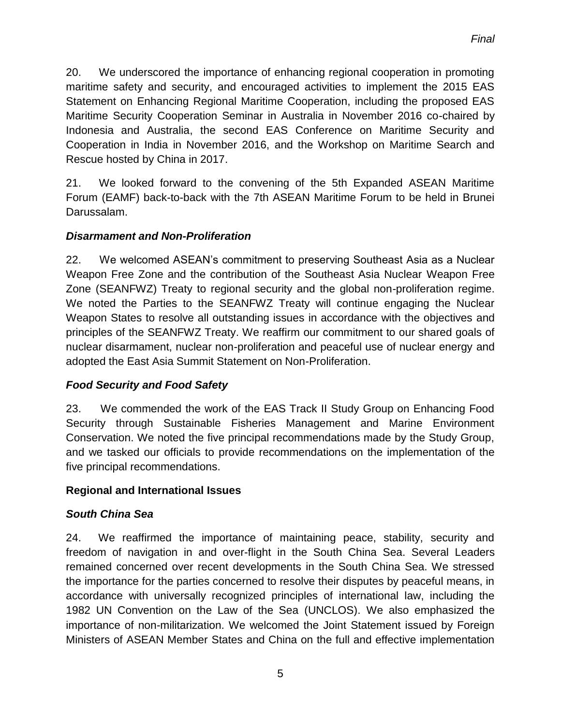20. We underscored the importance of enhancing regional cooperation in promoting maritime safety and security, and encouraged activities to implement the 2015 EAS Statement on Enhancing Regional Maritime Cooperation, including the proposed EAS Maritime Security Cooperation Seminar in Australia in November 2016 co-chaired by Indonesia and Australia, the second EAS Conference on Maritime Security and Cooperation in India in November 2016, and the Workshop on Maritime Search and Rescue hosted by China in 2017.

21. We looked forward to the convening of the 5th Expanded ASEAN Maritime Forum (EAMF) back-to-back with the 7th ASEAN Maritime Forum to be held in Brunei Darussalam.

# *Disarmament and Non-Proliferation*

22. We welcomed ASEAN's commitment to preserving Southeast Asia as a Nuclear Weapon Free Zone and the contribution of the Southeast Asia Nuclear Weapon Free Zone (SEANFWZ) Treaty to regional security and the global non-proliferation regime. We noted the Parties to the SEANFWZ Treaty will continue engaging the Nuclear Weapon States to resolve all outstanding issues in accordance with the objectives and principles of the SEANFWZ Treaty. We reaffirm our commitment to our shared goals of nuclear disarmament, nuclear non-proliferation and peaceful use of nuclear energy and adopted the East Asia Summit Statement on Non-Proliferation.

#### *Food Security and Food Safety*

23. We commended the work of the EAS Track II Study Group on Enhancing Food Security through Sustainable Fisheries Management and Marine Environment Conservation. We noted the five principal recommendations made by the Study Group, and we tasked our officials to provide recommendations on the implementation of the five principal recommendations.

#### **Regional and International Issues**

# *South China Sea*

24. We reaffirmed the importance of maintaining peace, stability, security and freedom of navigation in and over-flight in the South China Sea. Several Leaders remained concerned over recent developments in the South China Sea. We stressed the importance for the parties concerned to resolve their disputes by peaceful means, in accordance with universally recognized principles of international law, including the 1982 UN Convention on the Law of the Sea (UNCLOS). We also emphasized the importance of non-militarization. We welcomed the Joint Statement issued by Foreign Ministers of ASEAN Member States and China on the full and effective implementation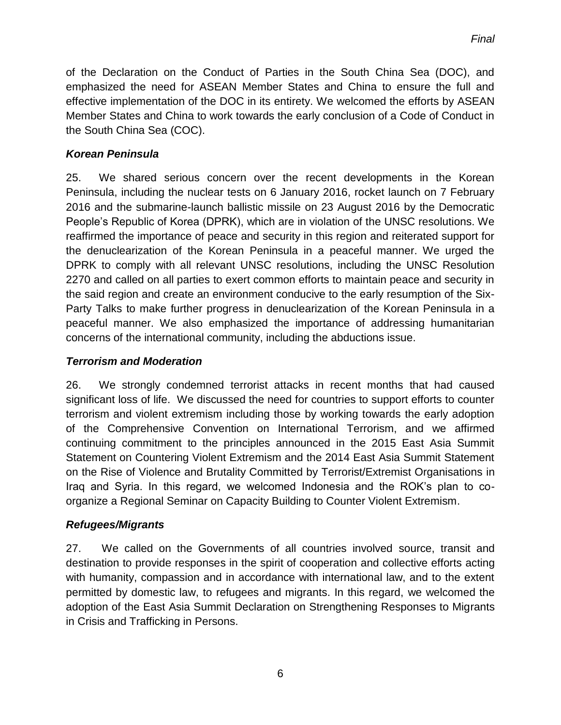of the Declaration on the Conduct of Parties in the South China Sea (DOC), and emphasized the need for ASEAN Member States and China to ensure the full and effective implementation of the DOC in its entirety. We welcomed the efforts by ASEAN Member States and China to work towards the early conclusion of a Code of Conduct in the South China Sea (COC).

### *Korean Peninsula*

25. We shared serious concern over the recent developments in the Korean Peninsula, including the nuclear tests on 6 January 2016, rocket launch on 7 February 2016 and the submarine-launch ballistic missile on 23 August 2016 by the Democratic People's Republic of Korea (DPRK), which are in violation of the UNSC resolutions. We reaffirmed the importance of peace and security in this region and reiterated support for the denuclearization of the Korean Peninsula in a peaceful manner. We urged the DPRK to comply with all relevant UNSC resolutions, including the UNSC Resolution 2270 and called on all parties to exert common efforts to maintain peace and security in the said region and create an environment conducive to the early resumption of the Six-Party Talks to make further progress in denuclearization of the Korean Peninsula in a peaceful manner. We also emphasized the importance of addressing humanitarian concerns of the international community, including the abductions issue.

### *Terrorism and Moderation*

26. We strongly condemned terrorist attacks in recent months that had caused significant loss of life. We discussed the need for countries to support efforts to counter terrorism and violent extremism including those by working towards the early adoption of the Comprehensive Convention on International Terrorism, and we affirmed continuing commitment to the principles announced in the 2015 East Asia Summit Statement on Countering Violent Extremism and the 2014 East Asia Summit Statement on the Rise of Violence and Brutality Committed by Terrorist/Extremist Organisations in Iraq and Syria. In this regard, we welcomed Indonesia and the ROK's plan to coorganize a Regional Seminar on Capacity Building to Counter Violent Extremism.

#### *Refugees/Migrants*

27. We called on the Governments of all countries involved source, transit and destination to provide responses in the spirit of cooperation and collective efforts acting with humanity, compassion and in accordance with international law, and to the extent permitted by domestic law, to refugees and migrants. In this regard, we welcomed the adoption of the East Asia Summit Declaration on Strengthening Responses to Migrants in Crisis and Trafficking in Persons.